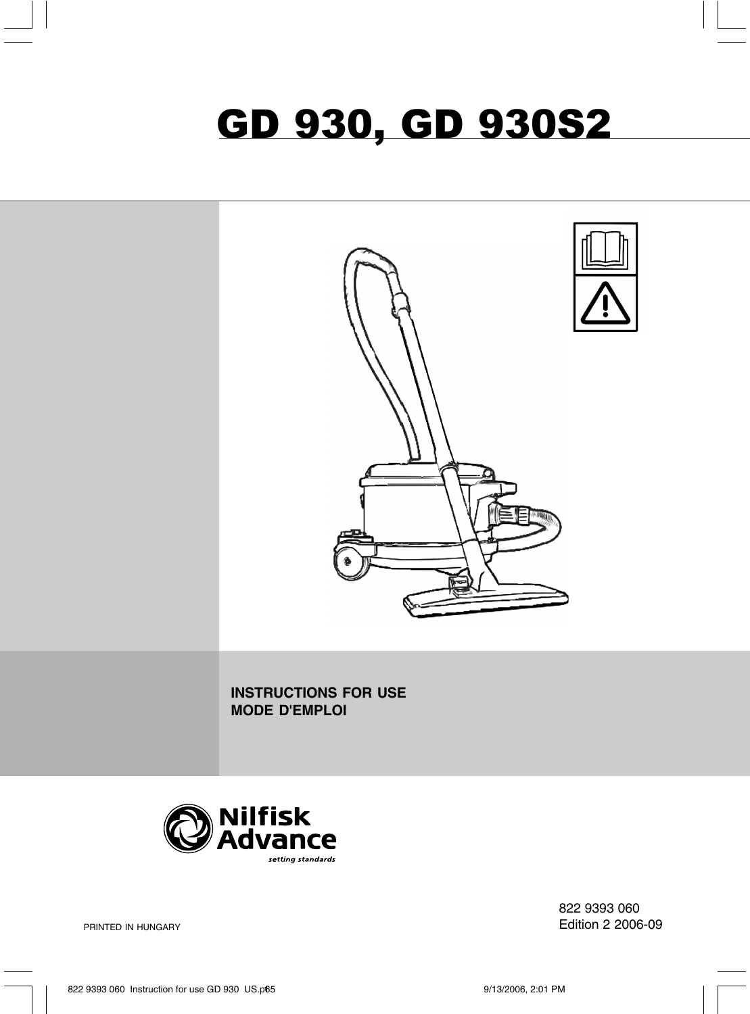# GD 930, GD 930S2



**INSTRUCTIONS FOR USE MODE D'EMPLOI**



822 9393 060 Edition 2 2006-09

PRINTED IN HUNGARY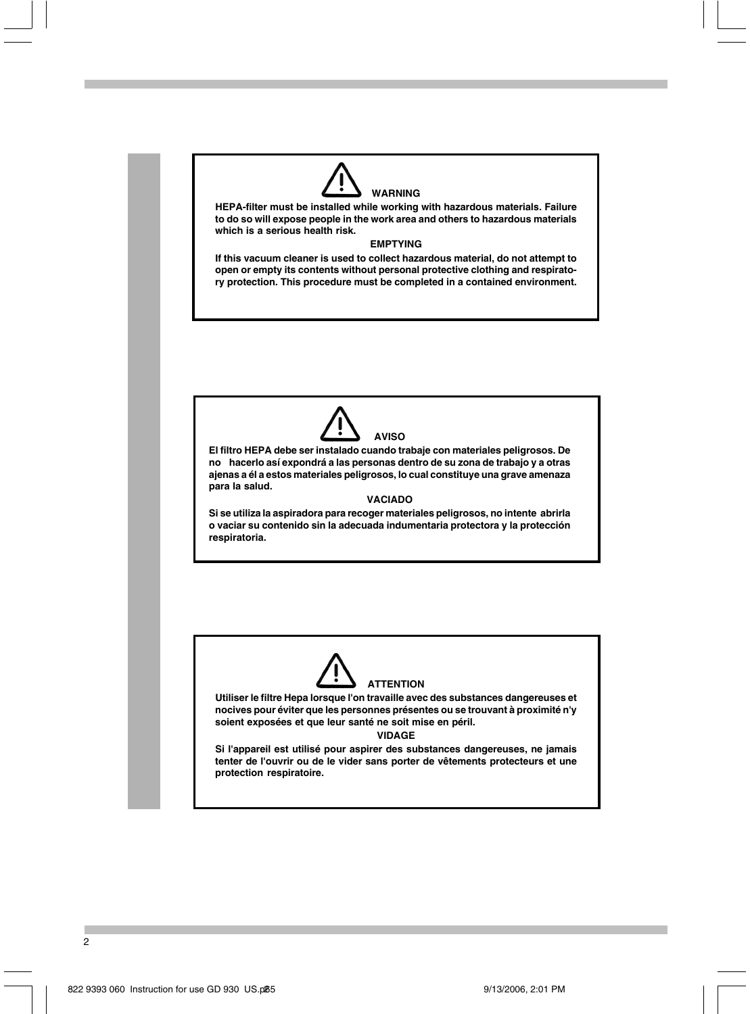

**HEPA-filter must be installed while working with hazardous materials. Failure to do so will expose people in the work area and others to hazardous materials which is a serious health risk.**

### **EMPTYING**

**If this vacuum cleaner is used to collect hazardous material, do not attempt to open or empty its contents without personal protective clothing and respiratory protection. This procedure must be completed in a contained environment.**



**El filtro HEPA debe ser instalado cuando trabaje con materiales peligrosos. De no hacerlo así expondrá a las personas dentro de su zona de trabajo y a otras ajenas a él a estos materiales peligrosos, lo cual constituye una grave amenaza para la salud.**

### **VACIADO**

**Si se utiliza la aspiradora para recoger materiales peligrosos, no intente abrirla o vaciar su contenido sin la adecuada indumentaria protectora y la protección respiratoria.**



**Utiliser le filtre Hepa lorsque l'on travaille avec des substances dangereuses et nocives pour éviter que les personnes présentes ou se trouvant à proximité n'y soient exposées et que leur santé ne soit mise en péril.**

**VIDAGE**

**Si l'appareil est utilisé pour aspirer des substances dangereuses, ne jamais tenter de l'ouvrir ou de le vider sans porter de vêtements protecteurs et une protection respiratoire.**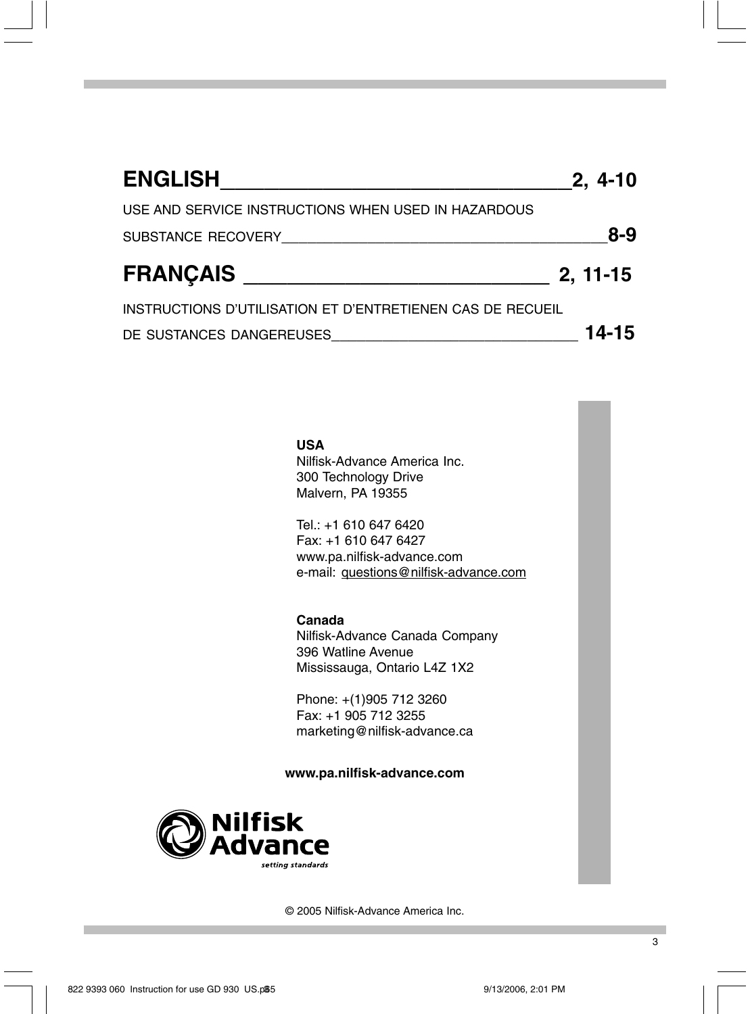| <b>ENGLISH</b>                                             | $2, 4-10$  |
|------------------------------------------------------------|------------|
| USE AND SERVICE INSTRUCTIONS WHEN USED IN HAZARDOUS        |            |
| SUBSTANCE RECOVERY                                         | $8 - 9$    |
| <b>FRANÇAIS</b>                                            | $2, 11-15$ |
| INSTRUCTIONS D'UTILISATION ET D'ENTRETIENEN CAS DE RECUEIL |            |
| DE SUSTANCES DANGEREUSES                                   | 14-15      |

# **USA**

Nilfisk-Advance America Inc. 300 Technology Drive Malvern, PA 19355

Tel.: +1 610 647 6420 Fax: +1 610 647 6427 www.pa.nilfisk-advance.com e-mail: questions@nilfisk-advance.com

# **Canada**

Nilfisk-Advance Canada Company 396 Watline Avenue Mississauga, Ontario L4Z 1X2

Phone: +(1)905 712 3260 Fax: +1 905 712 3255 marketing@nilfisk-advance.ca

### **www.pa.nilfisk-advance.com**



© 2005 Nilfisk-Advance America Inc.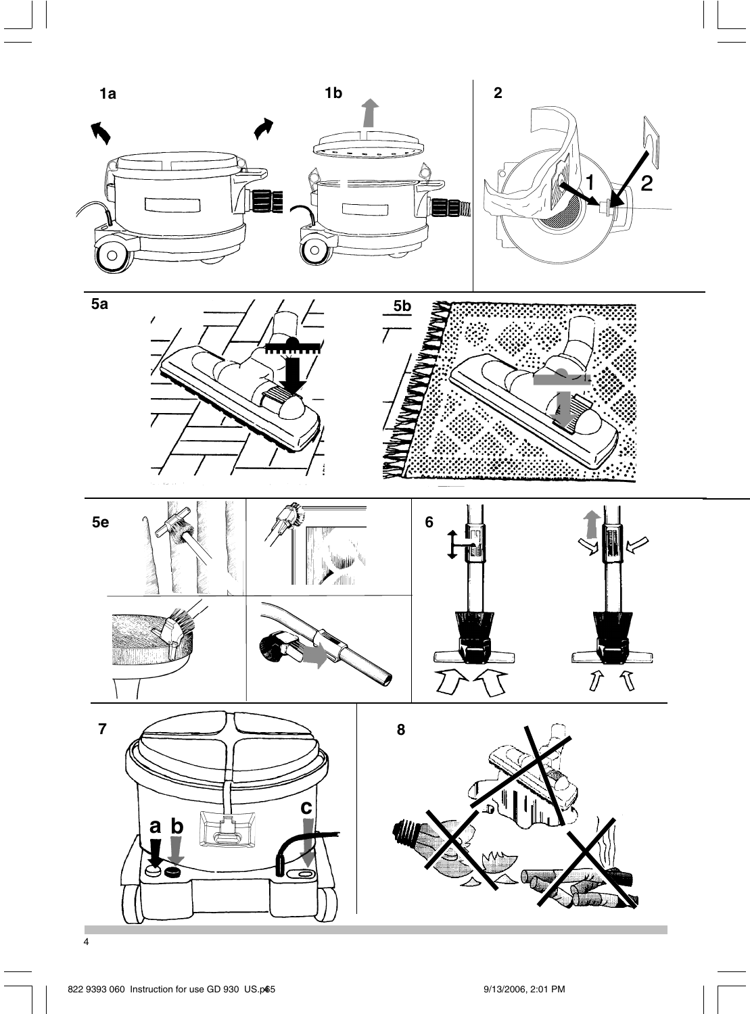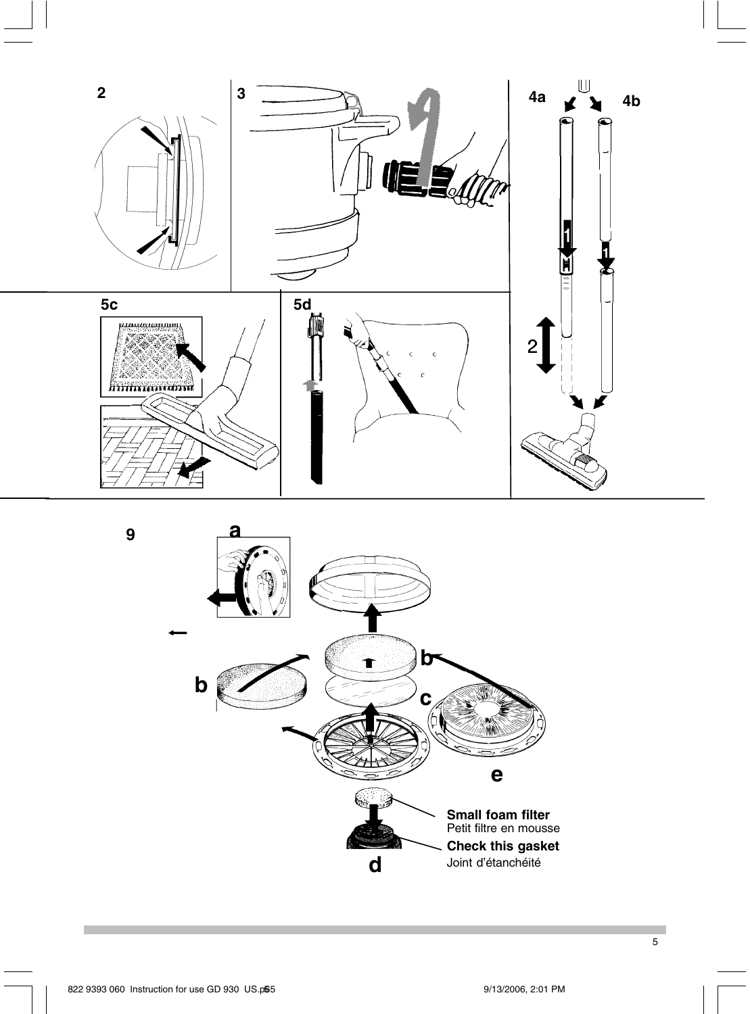



**9**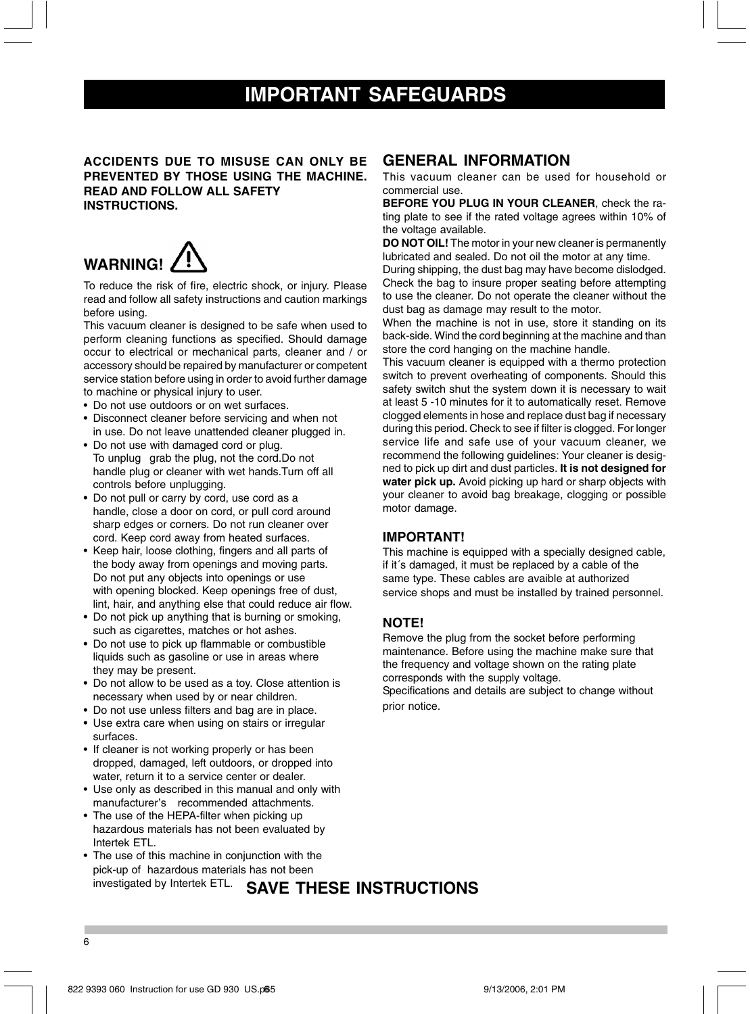# **IMPORTANT SAFEGUARDS**

### **ACCIDENTS DUE TO MISUSE CAN ONLY BE PREVENTED BY THOSE USING THE MACHINE. READ AND FOLLOW ALL SAFETY INSTRUCTIONS.**

# **WARNING!**

To reduce the risk of fire, electric shock, or injury. Please read and follow all safety instructions and caution markings before using.

This vacuum cleaner is designed to be safe when used to perform cleaning functions as specified. Should damage occur to electrical or mechanical parts, cleaner and / or accessory should be repaired by manufacturer or competent service station before using in order to avoid further damage to machine or physical injury to user.

• Do not use outdoors or on wet surfaces.

- Disconnect cleaner before servicing and when not in use. Do not leave unattended cleaner plugged in.
- Do not use with damaged cord or plug. To unplug grab the plug, not the cord.Do not handle plug or cleaner with wet hands.Turn off all controls before unplugging.
- Do not pull or carry by cord, use cord as a handle, close a door on cord, or pull cord around sharp edges or corners. Do not run cleaner over cord. Keep cord away from heated surfaces.
- Keep hair, loose clothing, fingers and all parts of the body away from openings and moving parts. Do not put any objects into openings or use with opening blocked. Keep openings free of dust, lint, hair, and anything else that could reduce air flow.
- Do not pick up anything that is burning or smoking, such as cigarettes, matches or hot ashes.
- Do not use to pick up flammable or combustible liquids such as gasoline or use in areas where they may be present.
- Do not allow to be used as a toy. Close attention is necessary when used by or near children.
- Do not use unless filters and bag are in place.
- Use extra care when using on stairs or irregular surfaces.
- If cleaner is not working properly or has been dropped, damaged, left outdoors, or dropped into water, return it to a service center or dealer.
- Use only as described in this manual and only with manufacturer's recommended attachments.
- The use of the HEPA-filter when picking up hazardous materials has not been evaluated by Intertek ETL.
- The use of this machine in conjunction with the pick-up of hazardous materials has not been investigated by Intertek ETL.

# **GENERAL INFORMATION**

This vacuum cleaner can be used for household or commercial use.

**BEFORE YOU PLUG IN YOUR CLEANER**, check the rating plate to see if the rated voltage agrees within 10% of the voltage available.

**DO NOT OIL!** The motor in your new cleaner is permanently lubricated and sealed. Do not oil the motor at any time.

During shipping, the dust bag may have become dislodged. Check the bag to insure proper seating before attempting to use the cleaner. Do not operate the cleaner without the dust bag as damage may result to the motor.

When the machine is not in use, store it standing on its back-side. Wind the cord beginning at the machine and than store the cord hanging on the machine handle.

This vacuum cleaner is equipped with a thermo protection switch to prevent overheating of components. Should this safety switch shut the system down it is necessary to wait at least 5 -10 minutes for it to automatically reset. Remove clogged elements in hose and replace dust bag if necessary during this period. Check to see if filter is clogged. For longer service life and safe use of your vacuum cleaner, we recommend the following guidelines: Your cleaner is designed to pick up dirt and dust particles. **It is not designed for water pick up.** Avoid picking up hard or sharp objects with your cleaner to avoid bag breakage, clogging or possible motor damage.

### **IMPORTANT!**

This machine is equipped with a specially designed cable, if it´s damaged, it must be replaced by a cable of the same type. These cables are avaible at authorized service shops and must be installed by trained personnel.

### **NOTE!**

Remove the plug from the socket before performing maintenance. Before using the machine make sure that the frequency and voltage shown on the rating plate corresponds with the supply voltage.

Specifications and details are subject to change without prior notice.

# **SAVE THESE INSTRUCTIONS**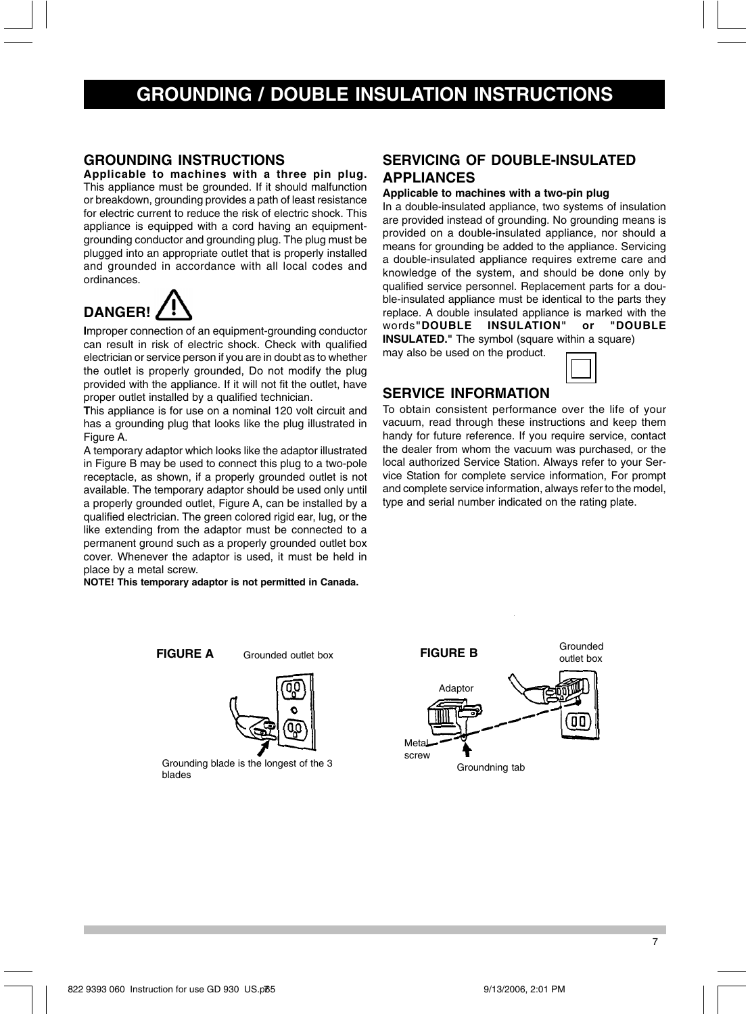# **GROUNDING / DOUBLE INSULATION INSTRUCTIONS**

# **GROUNDING INSTRUCTIONS**

**Applicable to machines with a three pin plug.** This appliance must be grounded. If it should malfunction or breakdown, grounding provides a path of least resistance for electric current to reduce the risk of electric shock. This appliance is equipped with a cord having an equipmentgrounding conductor and grounding plug. The plug must be plugged into an appropriate outlet that is properly installed and grounded in accordance with all local codes and ordinances.



**I**mproper connection of an equipment-grounding conductor can result in risk of electric shock. Check with qualified electrician or service person if you are in doubt as to whether the outlet is properly grounded, Do not modify the plug provided with the appliance. If it will not fit the outlet, have proper outlet installed by a qualified technician.

**T**his appliance is for use on a nominal 120 volt circuit and has a grounding plug that looks like the plug illustrated in Figure A.

A temporary adaptor which looks like the adaptor illustrated in Figure B may be used to connect this plug to a two-pole receptacle, as shown, if a properly grounded outlet is not available. The temporary adaptor should be used only until a properly grounded outlet, Figure A, can be installed by a qualified electrician. The green colored rigid ear, lug, or the like extending from the adaptor must be connected to a permanent ground such as a properly grounded outlet box cover. Whenever the adaptor is used, it must be held in place by a metal screw.

**NOTE! This temporary adaptor is not permitted in Canada.**

# **SERVICING OF DOUBLE-INSULATED APPLIANCES**

### **Applicable to machines with a two-pin plug**

In a double-insulated appliance, two systems of insulation are provided instead of grounding. No grounding means is provided on a double-insulated appliance, nor should a means for grounding be added to the appliance. Servicing a double-insulated appliance requires extreme care and knowledge of the system, and should be done only by qualified service personnel. Replacement parts for a double-insulated appliance must be identical to the parts they replace. A double insulated appliance is marked with the words"DOUBLE INSULATION" or "DOUBLE words"DOUBLE INSULATION" or **INSULATED."** The symbol (square within a square) may also be used on the product.

Grounded outlet box

99

## **SERVICE INFORMATION**

To obtain consistent performance over the life of your vacuum, read through these instructions and keep them handy for future reference. If you require service, contact the dealer from whom the vacuum was purchased, or the local authorized Service Station. Always refer to your Service Station for complete service information, For prompt and complete service information, always refer to the model, type and serial number indicated on the rating plate.

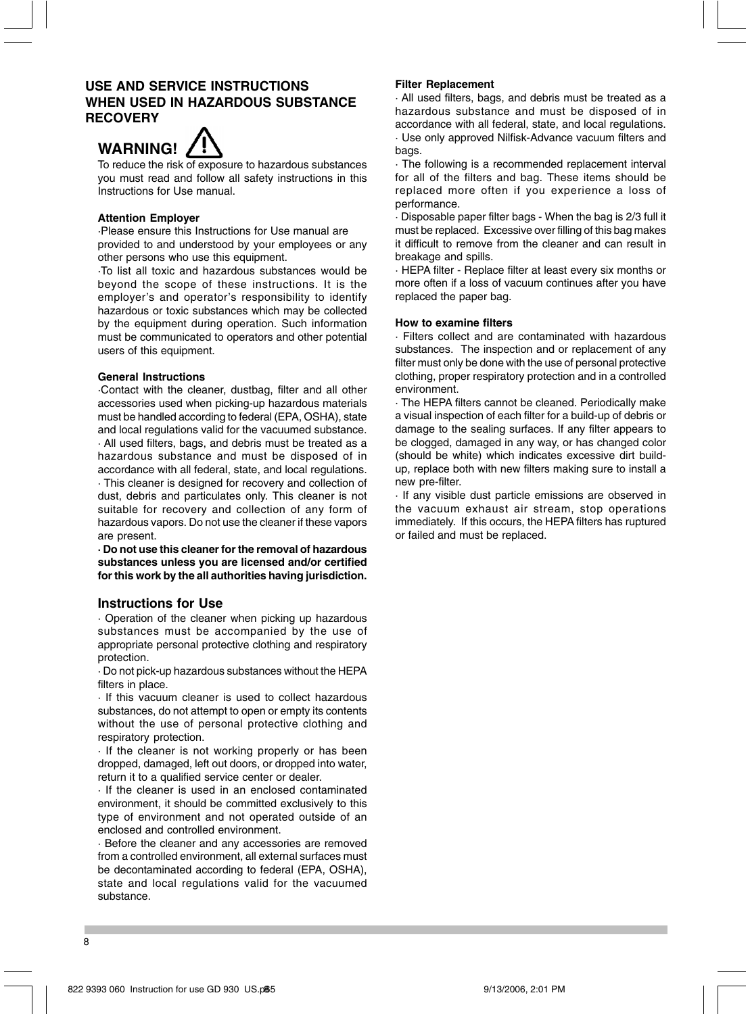# **USE AND SERVICE INSTRUCTIONS WHEN USED IN HAZARDOUS SUBSTANCE RECOVERY**



To reduce the risk of exposure to hazardous substances you must read and follow all safety instructions in this Instructions for Use manual.

### **Attention Employer**

·Please ensure this Instructions for Use manual are provided to and understood by your employees or any other persons who use this equipment.

·To list all toxic and hazardous substances would be beyond the scope of these instructions. It is the employer's and operator's responsibility to identify hazardous or toxic substances which may be collected by the equipment during operation. Such information must be communicated to operators and other potential users of this equipment.

### **General Instructions**

·Contact with the cleaner, dustbag, filter and all other accessories used when picking-up hazardous materials must be handled according to federal (EPA, OSHA), state and local regulations valid for the vacuumed substance. · All used filters, bags, and debris must be treated as a hazardous substance and must be disposed of in accordance with all federal, state, and local regulations. · This cleaner is designed for recovery and collection of dust, debris and particulates only. This cleaner is not suitable for recovery and collection of any form of hazardous vapors. Do not use the cleaner if these vapors

**· Do not use this cleaner for the removal of hazardous substances unless you are licensed and/or certified for this work by the all authorities having jurisdiction.**

### **Instructions for Use**

are present.

· Operation of the cleaner when picking up hazardous substances must be accompanied by the use of appropriate personal protective clothing and respiratory protection.

· Do not pick-up hazardous substances without the HEPA filters in place.

· If this vacuum cleaner is used to collect hazardous substances, do not attempt to open or empty its contents without the use of personal protective clothing and respiratory protection.

· If the cleaner is not working properly or has been dropped, damaged, left out doors, or dropped into water, return it to a qualified service center or dealer.

· If the cleaner is used in an enclosed contaminated environment, it should be committed exclusively to this type of environment and not operated outside of an enclosed and controlled environment.

· Before the cleaner and any accessories are removed from a controlled environment, all external surfaces must be decontaminated according to federal (EPA, OSHA), state and local regulations valid for the vacuumed substance.

### **Filter Replacement**

· All used filters, bags, and debris must be treated as a hazardous substance and must be disposed of in accordance with all federal, state, and local regulations. · Use only approved Nilfisk-Advance vacuum filters and bags.

· The following is a recommended replacement interval for all of the filters and bag. These items should be replaced more often if you experience a loss of performance.

· Disposable paper filter bags - When the bag is 2/3 full it must be replaced. Excessive over filling of this bag makes it difficult to remove from the cleaner and can result in breakage and spills.

· HEPA filter - Replace filter at least every six months or more often if a loss of vacuum continues after you have replaced the paper bag.

#### **How to examine filters**

· Filters collect and are contaminated with hazardous substances. The inspection and or replacement of any filter must only be done with the use of personal protective clothing, proper respiratory protection and in a controlled environment.

· The HEPA filters cannot be cleaned. Periodically make a visual inspection of each filter for a build-up of debris or damage to the sealing surfaces. If any filter appears to be clogged, damaged in any way, or has changed color (should be white) which indicates excessive dirt buildup, replace both with new filters making sure to install a new pre-filter.

· If any visible dust particle emissions are observed in the vacuum exhaust air stream, stop operations immediately. If this occurs, the HEPA filters has ruptured or failed and must be replaced.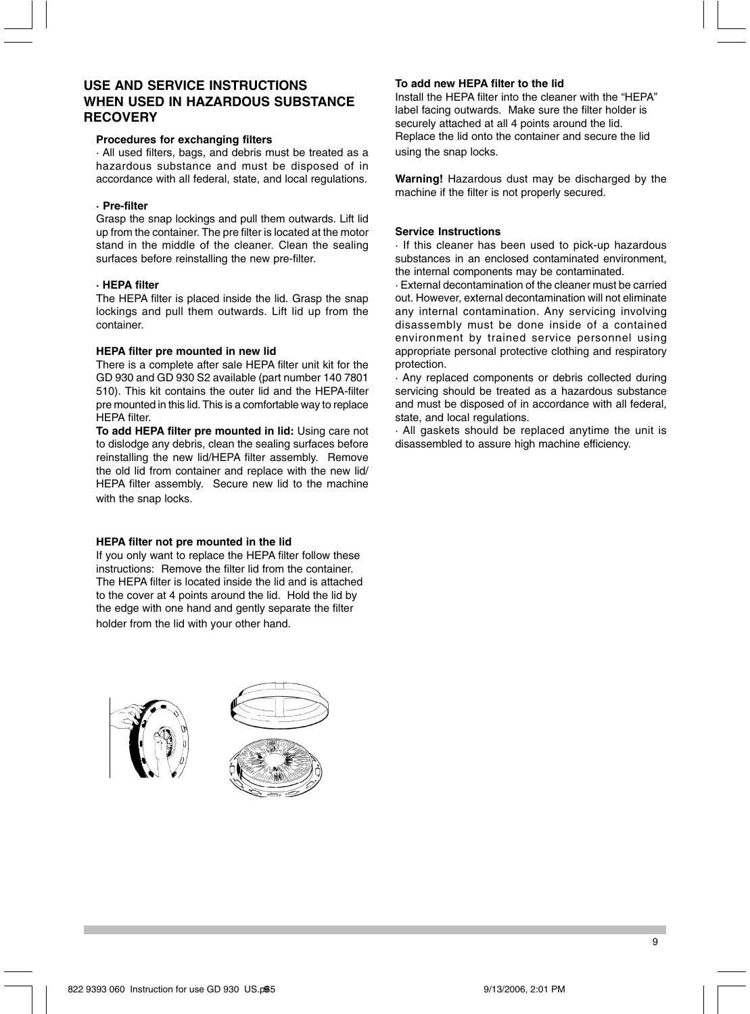# **USE AND SERVICE INSTRUCTIONS WHEN USED IN HAZARDOUS SUBSTANCE RECOVERY**

### **Procedures for exchanging filters**

· All used filters, bags, and debris must be treated as a hazardous substance and must be disposed of in accordance with all federal, state, and local regulations.

### **· Pre-filter**

Grasp the snap lockings and pull them outwards. Lift lid up from the container. The pre filter is located at the motor stand in the middle of the cleaner. Clean the sealing surfaces before reinstalling the new pre-filter.

### **· HEPA filter**

The HEPA filter is placed inside the lid. Grasp the snap lockings and pull them outwards. Lift lid up from the container.

### **HEPA filter pre mounted in new lid**

There is a complete after sale HEPA filter unit kit for the GD 930 and GD 930 S2 available (part number 140 7801 510). This kit contains the outer lid and the HEPA-filter pre mounted in this lid. This is a comfortable way to replace HEPA filter.

**To add HEPA filter pre mounted in lid:** Using care not to dislodge any debris, clean the sealing surfaces before reinstalling the new lid/HEPA filter assembly. Remove the old lid from container and replace with the new lid/ HEPA filter assembly. Secure new lid to the machine with the snap locks.

#### **HEPA filter not pre mounted in the lid**

If you only want to replace the HEPA filter follow these instructions: Remove the filter lid from the container. The HEPA filter is located inside the lid and is attached to the cover at 4 points around the lid. Hold the lid by the edge with one hand and gently separate the filter holder from the lid with your other hand.





### **To add new HEPA filter to the lid**

Install the HEPA filter into the cleaner with the "HEPA" label facing outwards. Make sure the filter holder is securely attached at all 4 points around the lid. Replace the lid onto the container and secure the lid using the snap locks.

**Warning!** Hazardous dust may be discharged by the machine if the filter is not properly secured.

### **Service Instructions**

· If this cleaner has been used to pick-up hazardous substances in an enclosed contaminated environment, the internal components may be contaminated.

· External decontamination of the cleaner must be carried out. However, external decontamination will not eliminate any internal contamination. Any servicing involving disassembly must be done inside of a contained environment by trained service personnel using appropriate personal protective clothing and respiratory protection.

· Any replaced components or debris collected during servicing should be treated as a hazardous substance and must be disposed of in accordance with all federal, state, and local regulations.

· All gaskets should be replaced anytime the unit is disassembled to assure high machine efficiency.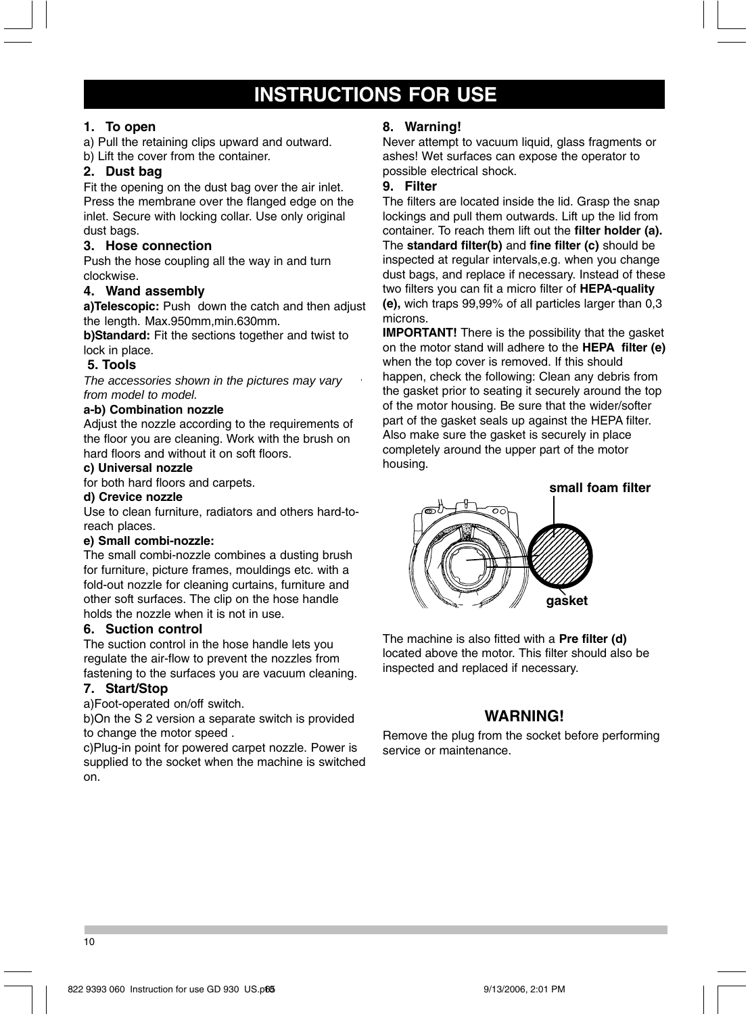# **INSTRUCTIONS FOR USE**

# **1. To open**

a) Pull the retaining clips upward and outward. b) Lift the cover from the container.

# **2. Dust bag**

Fit the opening on the dust bag over the air inlet. Press the membrane over the flanged edge on the inlet. Secure with locking collar. Use only original dust bags.

# **3. Hose connection**

Push the hose coupling all the way in and turn clockwise.

### **4. Wand assembly**

**a)Telescopic:** Push down the catch and then adjust the length. Max.950mm,min.630mm.

**b)Standard:** Fit the sections together and twist to lock in place.

### **5. Tools**

*The accessories shown in the pictures may vary from model to model.*

### **a-b) Combination nozzle**

Adjust the nozzle according to the requirements of the floor you are cleaning. Work with the brush on hard floors and without it on soft floors.

# **c) Universal nozzle**

for both hard floors and carpets.

# **d) Crevice nozzle**

Use to clean furniture, radiators and others hard-toreach places.

### **e) Small combi-nozzle:**

The small combi-nozzle combines a dusting brush for furniture, picture frames, mouldings etc. with a fold-out nozzle for cleaning curtains, furniture and other soft surfaces. The clip on the hose handle holds the nozzle when it is not in use.

### **6. Suction control**

The suction control in the hose handle lets you regulate the air-flow to prevent the nozzles from fastening to the surfaces you are vacuum cleaning.

### **7. Start/Stop**

a)Foot-operated on/off switch.

b)On the S 2 version a separate switch is provided to change the motor speed .

c)Plug-in point for powered carpet nozzle. Power is supplied to the socket when the machine is switched on.

# **8. Warning!**

Never attempt to vacuum liquid, glass fragments or ashes! Wet surfaces can expose the operator to possible electrical shock.

### **9. Filter**

The filters are located inside the lid. Grasp the snap lockings and pull them outwards. Lift up the lid from container. To reach them lift out the **filter holder (a).** The **standard filter(b)** and **fine filter (c)** should be inspected at regular intervals,e.g. when you change dust bags, and replace if necessary. Instead of these two filters you can fit a micro filter of **HEPA-quality (e),** wich traps 99,99% of all particles larger than 0,3 microns.

**IMPORTANT!** There is the possibility that the gasket on the motor stand will adhere to the **HEPA filter (e)** when the top cover is removed. If this should happen, check the following: Clean any debris from the gasket prior to seating it securely around the top of the motor housing. Be sure that the wider/softer part of the gasket seals up against the HEPA filter. Also make sure the gasket is securely in place completely around the upper part of the motor housing.



The machine is also fitted with a **Pre filter (d)** located above the motor. This filter should also be inspected and replaced if necessary.

# **WARNING!**

Remove the plug from the socket before performing service or maintenance.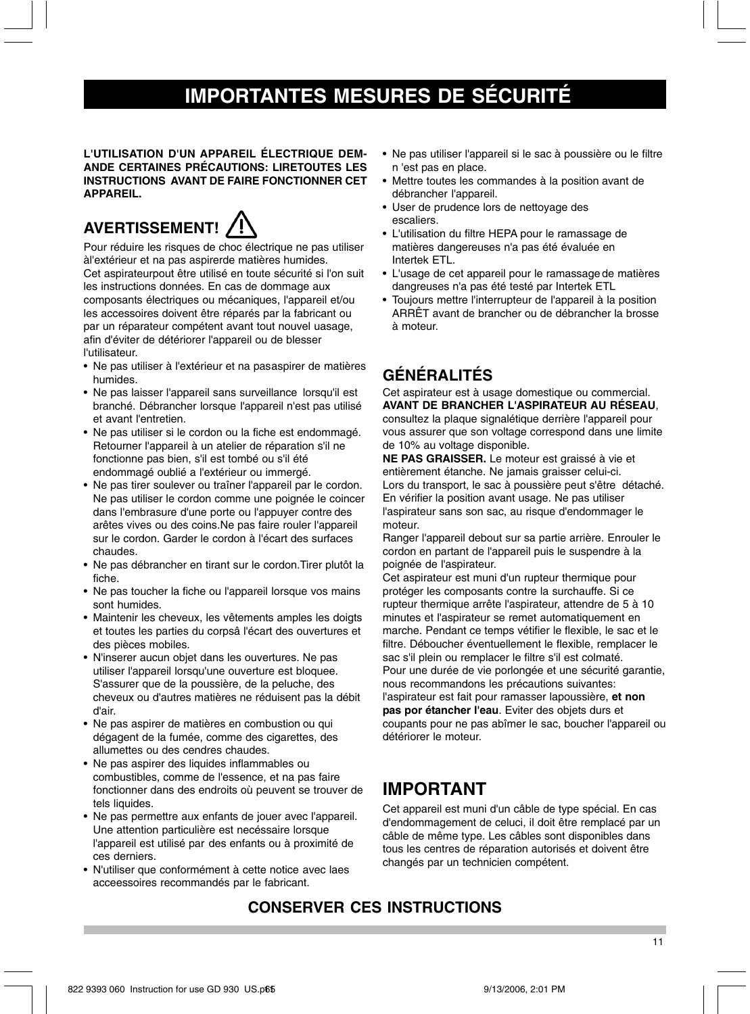# **IMPORTANTES MESURES DE SÉCURITÉ**

**L'UTILISATION D'UN APPAREIL ÉLECTRIQUE DEM-ANDE CERTAINES PRÉCAUTIONS: LIRETOUTES LES INSTRUCTIONS AVANT DE FAIRE FONCTIONNER CET APPAREIL.**

# **AVERTISSEMENT!**



Pour réduire les risques de choc électrique ne pas utiliser àl'extérieur et na pas aspirerde matières humides. Cet aspirateurpout être utilisé en toute sécurité si l'on suit les instructions données. En cas de dommage aux composants électriques ou mécaniques, l'appareil et/ou les accessoires doivent être réparés par la fabricant ou par un réparateur compétent avant tout nouvel uasage, afin d'éviter de détériorer l'appareil ou de blesser l'utilisateur.

- Ne pas utiliser à l'extérieur et na pasaspirer de matières humides.
- Ne pas laisser l'appareil sans surveillance lorsqu'il est branché. Débrancher lorsque l'appareil n'est pas utilisé et avant l'entretien.
- Ne pas utiliser si le cordon ou la fiche est endommagé. Retourner l'appareil à un atelier de réparation s'il ne fonctionne pas bien, s'il est tombé ou s'il été endommagé oublié a l'extérieur ou immergé.
- Ne pas tirer soulever ou traîner l'appareil par le cordon. Ne pas utiliser le cordon comme une poignée le coincer dans l'embrasure d'une porte ou l'appuyer contre des arêtes vives ou des coins.Ne pas faire rouler l'appareil sur le cordon. Garder le cordon à l'écart des surfaces chaudes.
- Ne pas débrancher en tirant sur le cordon.Tirer plutôt la fiche.
- Ne pas toucher la fiche ou l'appareil lorsque vos mains sont humides.
- Maintenir les cheveux, les vêtements amples les doigts et toutes les parties du corpsâ l'écart des ouvertures et des pièces mobiles.
- N'inserer aucun objet dans les ouvertures. Ne pas utiliser l'appareil lorsqu'une ouverture est bloquee. S'assurer que de la poussière, de la peluche, des cheveux ou d'autres matières ne réduisent pas la débit d'air.
- Ne pas aspirer de matières en combustion ou qui dégagent de la fumée, comme des cigarettes, des allumettes ou des cendres chaudes.
- Ne pas aspirer des liquides inflammables ou combustibles, comme de l'essence, et na pas faire fonctionner dans des endroits où peuvent se trouver de tels liquides.
- Ne pas permettre aux enfants de jouer avec l'appareil. Une attention particulière est necéssaire lorsque l'appareil est utilisé par des enfants ou à proximité de ces derniers.
- N'utiliser que conformément à cette notice avec laes acceessoires recommandés par le fabricant.
- Ne pas utiliser l'appareil si le sac à poussière ou le filtre n 'est pas en place.
- Mettre toutes les commandes à la position avant de débrancher l'appareil.
- User de prudence lors de nettoyage des escaliers.
- L'utilisation du filtre HEPA pour le ramassage de matières dangereuses n'a pas été évaluée en Intertek ETL.
- L'usage de cet appareil pour le ramassage de matières dangreuses n'a pas été testé par Intertek ETL
- Toujours mettre l'interrupteur de l'appareil à la position ARRÊT avant de brancher ou de débrancher la brosse à moteur.

# **GÉNÉRALITÉS**

Cet aspirateur est à usage domestique ou commercial. **AVANT DE BRANCHER L'ASPIRATEUR AU RÉSEAU**, consultez la plaque signalétique derrière l'appareil pour

vous assurer que son voltage correspond dans une limite de 10% au voltage disponible.

**NE PAS GRAISSER.** Le moteur est graissé à vie et entièrement étanche. Ne jamais graisser celui-ci. Lors du transport, le sac à poussière peut s'être détaché. En vérifier la position avant usage. Ne pas utiliser l'aspirateur sans son sac, au risque d'endommager le moteur.

Ranger l'appareil debout sur sa partie arrière. Enrouler le cordon en partant de l'appareil puis le suspendre à la poignée de l'aspirateur.

Cet aspirateur est muni d'un rupteur thermique pour protéger les composants contre la surchauffe. Si ce rupteur thermique arrête l'aspirateur, attendre de 5 à 10 minutes et l'aspirateur se remet automatiquement en marche. Pendant ce temps vétifier le flexible, le sac et le filtre. Déboucher éventuellement le flexible, remplacer le sac s'il plein ou remplacer le filtre s'il est colmaté. Pour une durée de vie porlongée et une sécurité garantie, nous recommandons les précautions suivantes: l'aspirateur est fait pour ramasser lapoussière, **et non pas por étancher l'eau**. Eviter des objets durs et coupants pour ne pas abîmer le sac, boucher l'appareil ou détériorer le moteur.

# **IMPORTANT**

Cet appareil est muni d'un câble de type spécial. En cas d'endommagement de celuci, il doit être remplacé par un câble de même type. Les câbles sont disponibles dans tous les centres de réparation autorisés et doivent être changés par un technicien compétent.

# **CONSERVER CES INSTRUCTIONS**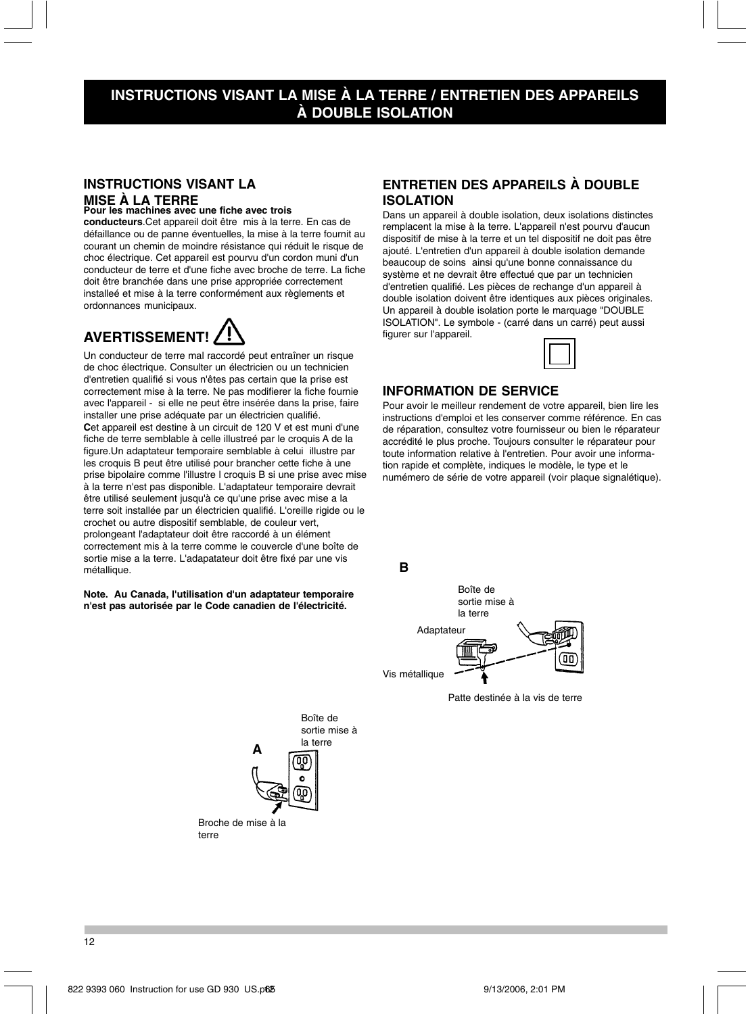# **INSTRUCTIONS VISANT LA MISE À LA TERRE / ENTRETIEN DES APPAREILS À DOUBLE ISOLATION**

### INSTRUC **MISE A LA TERRE**<br>Pour les machines avec une fiche avec trois **INSTRUCTIONS VISANT LA**

**conducteurs**.Cet appareil doit être mis à la terre. En cas de défaillance ou de panne éventuelles, la mise à la terre fournit au courant un chemin de moindre résistance qui réduit le risque de choc électrique. Cet appareil est pourvu d'un cordon muni d'un conducteur de terre et d'une fiche avec broche de terre. La fiche doit être branchée dans une prise appropriée correctement installeé et mise à la terre conformément aux règlements et ordonnances municipaux.

# **AVERTISSEMENT!**

Un conducteur de terre mal raccordé peut entraîner un risque de choc électrique. Consulter un électricien ou un technicien d'entretien qualifié si vous n'êtes pas certain que la prise est correctement mise à la terre. Ne pas modifierer la fiche fournie avec l'appareil - si elle ne peut être insérée dans la prise, faire installer une prise adéquate par un électricien qualifié. **C**et appareil est destine à un circuit de 120 V et est muni d'une fiche de terre semblable à celle illustreé par le croquis A de la figure.Un adaptateur temporaire semblable à celui illustre par les croquis B peut être utilisé pour brancher cette fiche à une prise bipolaire comme l'illustre l croquis B si une prise avec mise à la terre n'est pas disponible. L'adaptateur temporaire devrait être utilisé seulement jusqu'à ce qu'une prise avec mise a la terre soit installée par un électricien qualifié. L'oreille rigide ou le crochet ou autre dispositif semblable, de couleur vert, prolongeant l'adaptateur doit être raccordé à un élément correctement mis à la terre comme le couvercle d'une boîte de sortie mise a la terre. L'adapatateur doit être fixé par une vis métallique.

#### **Note. Au Canada, l'utilisation d'un adaptateur temporaire n'est pas autorisée par le Code canadien de l'électricité.**

Broche de mise à la

Boîte de sortie mise à la terre

terre

# **ENTRETIEN DES APPAREILS À DOUBLE ISOLATION**

Dans un appareil à double isolation, deux isolations distinctes remplacent la mise à la terre. L'appareil n'est pourvu d'aucun dispositif de mise à la terre et un tel dispositif ne doit pas être ajouté. L'entretien d'un appareil à double isolation demande beaucoup de soins ainsi qu'une bonne connaissance du système et ne devrait être effectué que par un technicien d'entretien qualifié. Les pièces de rechange d'un appareil à double isolation doivent être identiques aux pièces originales. Un appareil à double isolation porte le marquage "DOUBLE ISOLATION". Le symbole - (carré dans un carré) peut aussi figurer sur l'appareil.



### **INFORMATION DE SERVICE**

Pour avoir le meilleur rendement de votre appareil, bien lire les instructions d'emploi et les conserver comme référence. En cas de réparation, consultez votre fournisseur ou bien le réparateur accrédité le plus proche. Toujours consulter le réparateur pour toute information relative à l'entretien. Pour avoir une information rapide et complète, indiques le modèle, le type et le numémero de série de votre appareil (voir plaque signalétique).

**B**



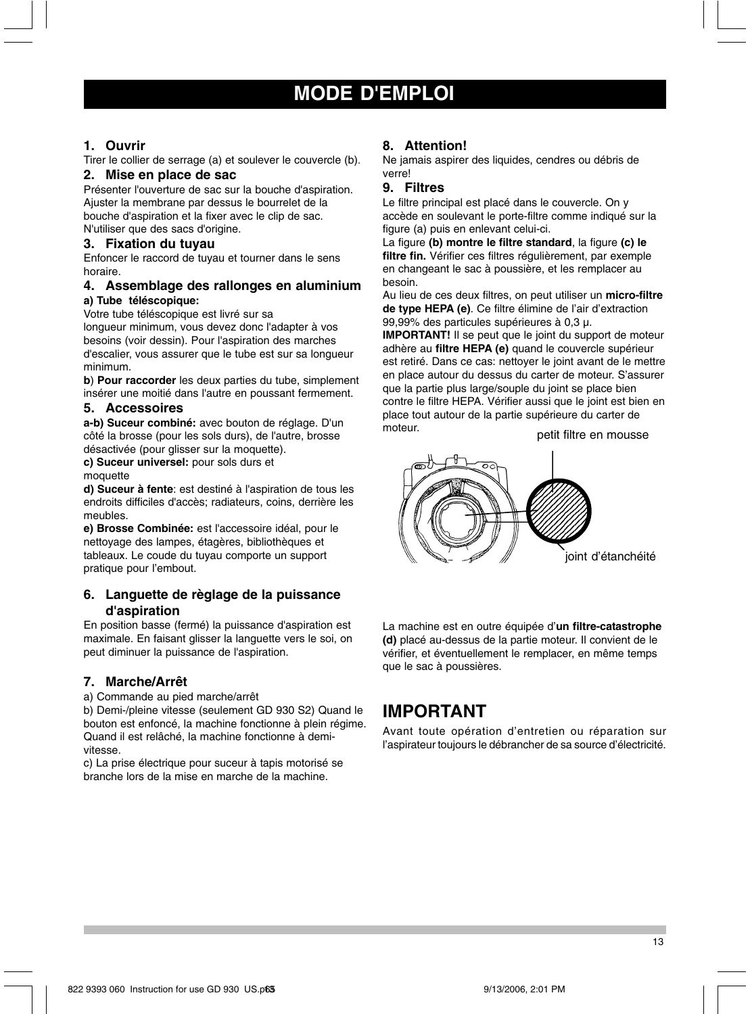# **MODE D'EMPLOI**

### **1. Ouvrir**

Tirer le collier de serrage (a) et soulever le couvercle (b).

# **2. Mise en place de sac**

Présenter l'ouverture de sac sur la bouche d'aspiration. Ajuster la membrane par dessus le bourrelet de la bouche d'aspiration et la fixer avec le clip de sac. N'utiliser que des sacs d'origine.

### **3. Fixation du tuyau**

Enfoncer le raccord de tuyau et tourner dans le sens horaire.

### **4. Assemblage des rallonges en aluminium a) Tube téléscopique:**

Votre tube téléscopique est livré sur sa

longueur minimum, vous devez donc l'adapter à vos besoins (voir dessin). Pour l'aspiration des marches d'escalier, vous assurer que le tube est sur sa longueur minimum.

**b**) **Pour raccorder** les deux parties du tube, simplement insérer une moitié dans l'autre en poussant fermement.

### **5. Accessoires**

**a-b) Suceur combiné:** avec bouton de réglage. D'un côté la brosse (pour les sols durs), de l'autre, brosse désactivée (pour glisser sur la moquette).

**c) Suceur universel:** pour sols durs et

### moquette

**d) Suceur à fente**: est destiné à l'aspiration de tous les endroits difficiles d'accès; radiateurs, coins, derrière les meubles.

**e) Brosse Combinée:** est l'accessoire idéal, pour le nettoyage des lampes, étagères, bibliothèques et tableaux. Le coude du tuyau comporte un support pratique pour l'embout.

### **6. Languette de règlage de la puissance d'aspiration**

En position basse (fermé) la puissance d'aspiration est maximale. En faisant glisser la languette vers le soi, on peut diminuer la puissance de l'aspiration.

### **7. Marche/Arrêt**

a) Commande au pied marche/arrêt

b) Demi-/pleine vitesse (seulement GD 930 S2) Quand le bouton est enfoncé, la machine fonctionne à plein régime. Quand il est relâché, la machine fonctionne à demivitesse.

c) La prise électrique pour suceur à tapis motorisé se branche lors de la mise en marche de la machine.

### **8. Attention!**

Ne jamais aspirer des liquides, cendres ou débris de verre!

### **9. Filtres**

Le filtre principal est placé dans le couvercle. On y accède en soulevant le porte-filtre comme indiqué sur la figure (a) puis en enlevant celui-ci.

La figure **(b) montre le filtre standard**, la figure **(c) le filtre fin.** Vérifier ces filtres régulièrement, par exemple en changeant le sac à poussière, et les remplacer au besoin.

Au lieu de ces deux filtres, on peut utiliser un **micro-filtre de type HEPA (e)**. Ce filtre élimine de l'air d'extraction 99,99% des particules supérieures à 0,3 µ.

**IMPORTANT!** Il se peut que le joint du support de moteur adhère au **filtre HEPA (e)** quand le couvercle supérieur est retiré. Dans ce cas: nettoyer le joint avant de le mettre en place autour du dessus du carter de moteur. S'assurer que la partie plus large/souple du joint se place bien contre le filtre HEPA. Vérifier aussi que le joint est bien en place tout autour de la partie supérieure du carter de moteur.

petit filtre en mousse



La machine est en outre équipée d'**un filtre-catastrophe (d)** placé au-dessus de la partie moteur. Il convient de le vérifier, et éventuellement le remplacer, en même temps que le sac à poussières.

# **IMPORTANT**

Avant toute opération d'entretien ou réparation sur l'aspirateur toujours le débrancher de sa source d'électricité.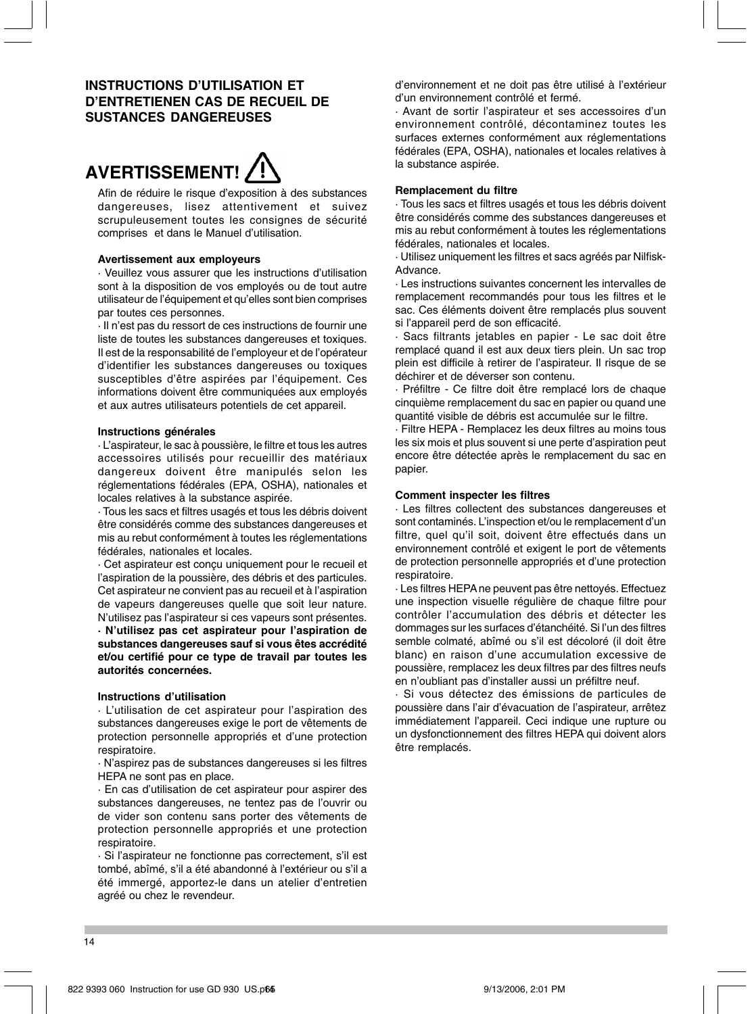# **INSTRUCTIONS D'UTILISATION ET D'ENTRETIENEN CAS DE RECUEIL DE SUSTANCES DANGEREUSES**



Afin de réduire le risque d'exposition à des substances dangereuses, lisez attentivement et suivez scrupuleusement toutes les consignes de sécurité comprises et dans le Manuel d'utilisation.

### **Avertissement aux employeurs**

· Veuillez vous assurer que les instructions d'utilisation sont à la disposition de vos employés ou de tout autre utilisateur de l'équipement et qu'elles sont bien comprises par toutes ces personnes.

· Il n'est pas du ressort de ces instructions de fournir une liste de toutes les substances dangereuses et toxiques. Il est de la responsabilité de l'employeur et de l'opérateur d'identifier les substances dangereuses ou toxiques susceptibles d'être aspirées par l'équipement. Ces informations doivent être communiquées aux employés et aux autres utilisateurs potentiels de cet appareil.

### **Instructions générales**

· L'aspirateur, le sac à poussière, le filtre et tous les autres accessoires utilisés pour recueillir des matériaux dangereux doivent être manipulés selon les réglementations fédérales (EPA, OSHA), nationales et locales relatives à la substance aspirée.

· Tous les sacs et filtres usagés et tous les débris doivent être considérés comme des substances dangereuses et mis au rebut conformément à toutes les réglementations fédérales, nationales et locales.

· Cet aspirateur est conçu uniquement pour le recueil et l'aspiration de la poussière, des débris et des particules. Cet aspirateur ne convient pas au recueil et à l'aspiration de vapeurs dangereuses quelle que soit leur nature. N'utilisez pas l'aspirateur si ces vapeurs sont présentes.

**· N'utilisez pas cet aspirateur pour l'aspiration de substances dangereuses sauf si vous êtes accrédité et/ou certifié pour ce type de travail par toutes les autorités concernées.**

### **Instructions d'utilisation**

· L'utilisation de cet aspirateur pour l'aspiration des substances dangereuses exige le port de vêtements de protection personnelle appropriés et d'une protection respiratoire.

· N'aspirez pas de substances dangereuses si les filtres HEPA ne sont pas en place.

· En cas d'utilisation de cet aspirateur pour aspirer des substances dangereuses, ne tentez pas de l'ouvrir ou de vider son contenu sans porter des vêtements de protection personnelle appropriés et une protection respiratoire.

· Si l'aspirateur ne fonctionne pas correctement, s'il est tombé, abîmé, s'il a été abandonné à l'extérieur ou s'il a été immergé, apportez-le dans un atelier d'entretien agréé ou chez le revendeur.

d'environnement et ne doit pas être utilisé à l'extérieur d'un environnement contrôlé et fermé.

· Avant de sortir l'aspirateur et ses accessoires d'un environnement contrôlé, décontaminez toutes les surfaces externes conformément aux réglementations fédérales (EPA, OSHA), nationales et locales relatives à la substance aspirée.

#### **Remplacement du filtre**

· Tous les sacs et filtres usagés et tous les débris doivent être considérés comme des substances dangereuses et mis au rebut conformément à toutes les réglementations fédérales, nationales et locales.

· Utilisez uniquement les filtres et sacs agréés par Nilfisk-Advance.

· Les instructions suivantes concernent les intervalles de remplacement recommandés pour tous les filtres et le sac. Ces éléments doivent être remplacés plus souvent si l'appareil perd de son efficacité.

Sacs filtrants jetables en papier - Le sac doit être remplacé quand il est aux deux tiers plein. Un sac trop plein est difficile à retirer de l'aspirateur. Il risque de se déchirer et de déverser son contenu.

· Préfiltre - Ce filtre doit être remplacé lors de chaque cinquième remplacement du sac en papier ou quand une quantité visible de débris est accumulée sur le filtre.

· Filtre HEPA - Remplacez les deux filtres au moins tous les six mois et plus souvent si une perte d'aspiration peut encore être détectée après le remplacement du sac en papier.

### **Comment inspecter les filtres**

· Les filtres collectent des substances dangereuses et sont contaminés. L'inspection et/ou le remplacement d'un filtre, quel qu'il soit, doivent être effectués dans un environnement contrôlé et exigent le port de vêtements de protection personnelle appropriés et d'une protection respiratoire.

· Les filtres HEPA ne peuvent pas être nettoyés. Effectuez une inspection visuelle régulière de chaque filtre pour contrôler l'accumulation des débris et détecter les dommages sur les surfaces d'étanchéité. Si l'un des filtres semble colmaté, abîmé ou s'il est décoloré (il doit être blanc) en raison d'une accumulation excessive de poussière, remplacez les deux filtres par des filtres neufs en n'oubliant pas d'installer aussi un préfiltre neuf.

· Si vous détectez des émissions de particules de poussière dans l'air d'évacuation de l'aspirateur, arrêtez immédiatement l'appareil. Ceci indique une rupture ou un dysfonctionnement des filtres HEPA qui doivent alors être remplacés.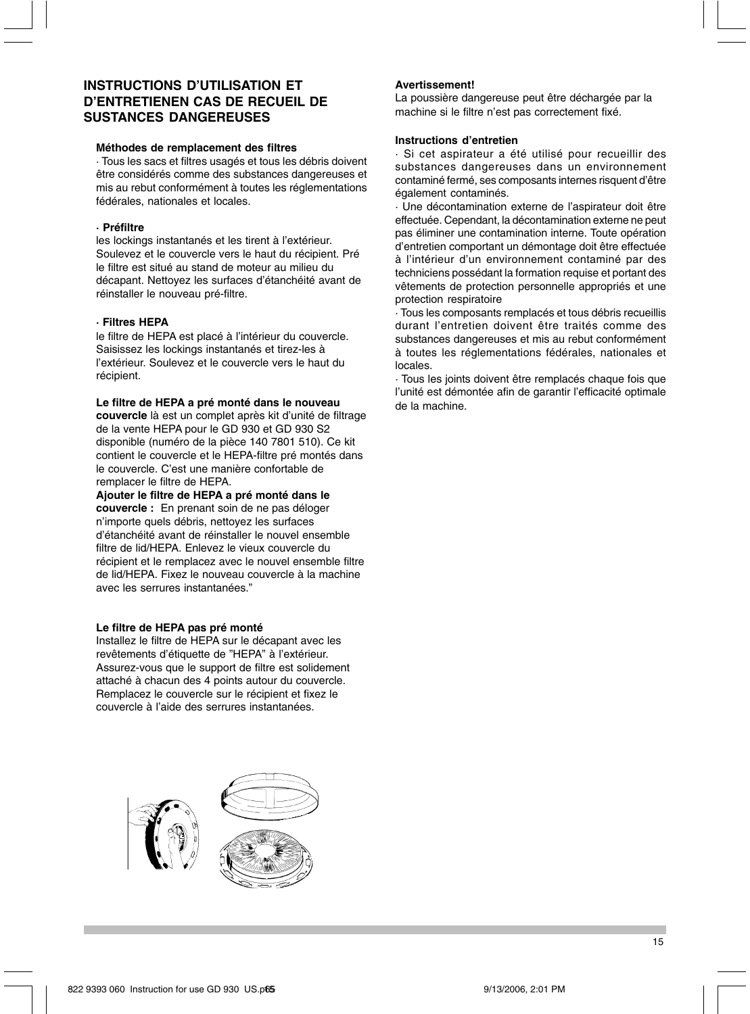# **INSTRUCTIONS D'UTILISATION ET D'ENTRETIENEN CAS DE RECUEIL DE SUSTANCES DANGEREUSES**

### **Méthodes de remplacement des filtres**

· Tous les sacs et filtres usagés et tous les débris doivent être considérés comme des substances dangereuses et mis au rebut conformément à toutes les réglementations fédérales, nationales et locales.

### **· Préfiltre**

les lockings instantanés et les tirent à l'extérieur. Soulevez et le couvercle vers le haut du récipient. Pré le filtre est situé au stand de moteur au milieu du décapant. Nettoyez les surfaces d'étanchéité avant de réinstaller le nouveau pré-filtre.

### **· Filtres HEPA**

le filtre de HEPA est placé à l'intérieur du couvercle. Saisissez les lockings instantanés et tirez-les à l'extérieur. Soulevez et le couvercle vers le haut du récipient.

#### **Le filtre de HEPA a pré monté dans le nouveau**

**couvercle** là est un complet après kit d'unité de filtrage de la vente HEPA pour le GD 930 et GD 930 S2 disponible (numéro de la pièce 140 7801 510). Ce kit contient le couvercle et le HEPA-filtre pré montés dans le couvercle. C'est une manière confortable de remplacer le filtre de HEPA.

**Ajouter le filtre de HEPA a pré monté dans le couvercle :** En prenant soin de ne pas déloger n'importe quels débris, nettoyez les surfaces d'étanchéité avant de réinstaller le nouvel ensemble filtre de lid/HEPA. Enlevez le vieux couvercle du récipient et le remplacez avec le nouvel ensemble filtre de lid/HEPA. Fixez le nouveau couvercle à la machine avec les serrures instantanées."

#### **Le filtre de HEPA pas pré monté**

Installez le filtre de HEPA sur le décapant avec les revêtements d'étiquette de "HEPA" à l'extérieur. Assurez-vous que le support de filtre est solidement attaché à chacun des 4 points autour du couvercle. Remplacez le couvercle sur le récipient et fixez le couvercle à l'aide des serrures instantanées.



### **Avertissement!**

La poussière dangereuse peut être déchargée par la machine si le filtre n'est pas correctement fixé.

### **Instructions d'entretien**

· Si cet aspirateur a été utilisé pour recueillir des substances dangereuses dans un environnement contaminé fermé, ses composants internes risquent d'être également contaminés.

· Une décontamination externe de l'aspirateur doit être effectuée. Cependant, la décontamination externe ne peut pas éliminer une contamination interne. Toute opération d'entretien comportant un démontage doit être effectuée à l'intérieur d'un environnement contaminé par des techniciens possédant la formation requise et portant des vêtements de protection personnelle appropriés et une protection respiratoire

· Tous les composants remplacés et tous débris recueillis durant l'entretien doivent être traités comme des substances dangereuses et mis au rebut conformément à toutes les réglementations fédérales, nationales et locales.

· Tous les joints doivent être remplacés chaque fois que l'unité est démontée afin de garantir l'efficacité optimale de la machine.